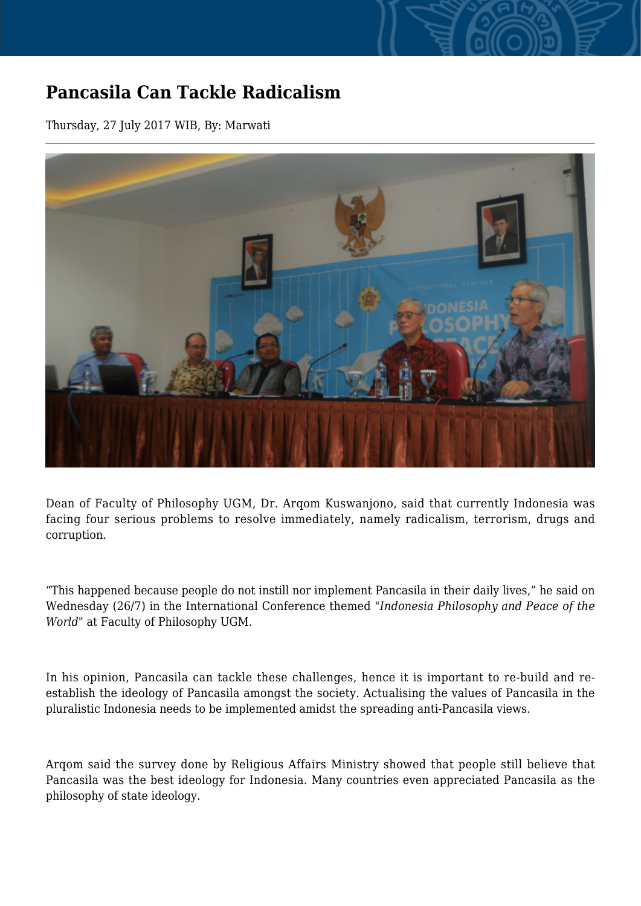## **Pancasila Can Tackle Radicalism**

Thursday, 27 July 2017 WIB, By: Marwati



Dean of Faculty of Philosophy UGM, Dr. Arqom Kuswanjono, said that currently Indonesia was facing four serious problems to resolve immediately, namely radicalism, terrorism, drugs and corruption.

"This happened because people do not instill nor implement Pancasila in their daily lives," he said on Wednesday (26/7) in the International Conference themed "*Indonesia Philosophy and Peace of the World*" at Faculty of Philosophy UGM.

In his opinion, Pancasila can tackle these challenges, hence it is important to re-build and reestablish the ideology of Pancasila amongst the society. Actualising the values of Pancasila in the pluralistic Indonesia needs to be implemented amidst the spreading anti-Pancasila views.

Arqom said the survey done by Religious Affairs Ministry showed that people still believe that Pancasila was the best ideology for Indonesia. Many countries even appreciated Pancasila as the philosophy of state ideology.